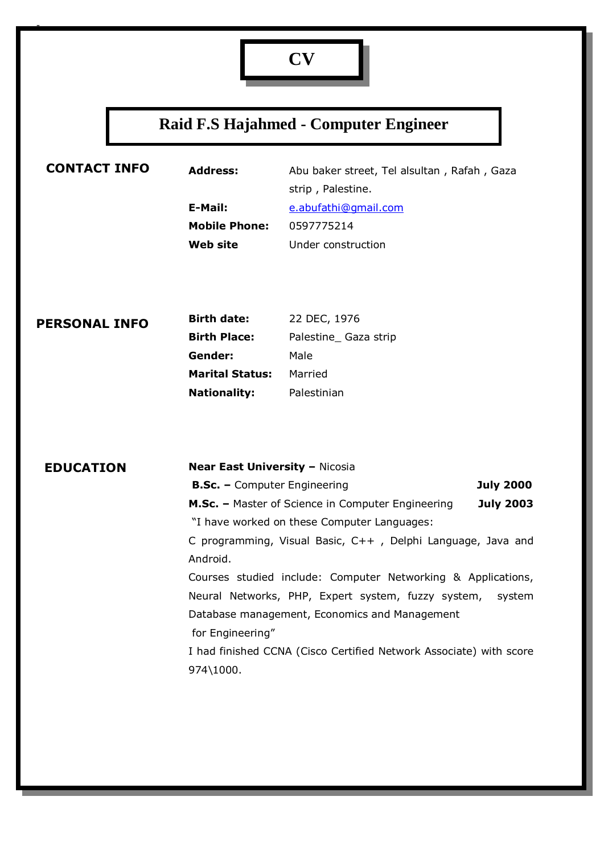# **CV**

-

# **Raid F.S Hajahmed - Computer Engineer**

| <b>CONTACT INFO</b>  | <b>Address:</b>                                                                                                                                                                        | Abu baker street, Tel alsultan, Rafah, Gaza |  |
|----------------------|----------------------------------------------------------------------------------------------------------------------------------------------------------------------------------------|---------------------------------------------|--|
|                      |                                                                                                                                                                                        | strip, Palestine.                           |  |
|                      | E-Mail:                                                                                                                                                                                | e.abufathi@gmail.com                        |  |
|                      | <b>Mobile Phone:</b>                                                                                                                                                                   | 0597775214                                  |  |
|                      | <b>Web site</b>                                                                                                                                                                        | Under construction                          |  |
|                      |                                                                                                                                                                                        |                                             |  |
| <b>PERSONAL INFO</b> | <b>Birth date:</b>                                                                                                                                                                     | 22 DEC, 1976                                |  |
|                      | <b>Birth Place:</b>                                                                                                                                                                    | Palestine_ Gaza strip                       |  |
|                      | Gender:                                                                                                                                                                                | Male                                        |  |
|                      | <b>Marital Status:</b>                                                                                                                                                                 | Married                                     |  |
|                      | <b>Nationality:</b>                                                                                                                                                                    | Palestinian                                 |  |
| <b>EDUCATION</b>     | <b>Near East University - Nicosia</b><br><b>B.Sc. - Computer Engineering</b><br><b>July 2000</b><br>M.Sc. - Master of Science in Computer Engineering<br><b>July 2003</b>              |                                             |  |
|                      |                                                                                                                                                                                        |                                             |  |
|                      | "I have worked on these Computer Languages:<br>C programming, Visual Basic, C++, Delphi Language, Java and<br>Android.<br>Courses studied include: Computer Networking & Applications, |                                             |  |
|                      |                                                                                                                                                                                        |                                             |  |
|                      |                                                                                                                                                                                        |                                             |  |
|                      | Neural Networks, PHP, Expert system, fuzzy system,<br>system                                                                                                                           |                                             |  |
|                      | Database management, Economics and Management                                                                                                                                          |                                             |  |
|                      | for Engineering"<br>I had finished CCNA (Cisco Certified Network Associate) with score                                                                                                 |                                             |  |
|                      |                                                                                                                                                                                        |                                             |  |
|                      | 974\1000.                                                                                                                                                                              |                                             |  |
|                      |                                                                                                                                                                                        |                                             |  |
|                      |                                                                                                                                                                                        |                                             |  |
|                      |                                                                                                                                                                                        |                                             |  |